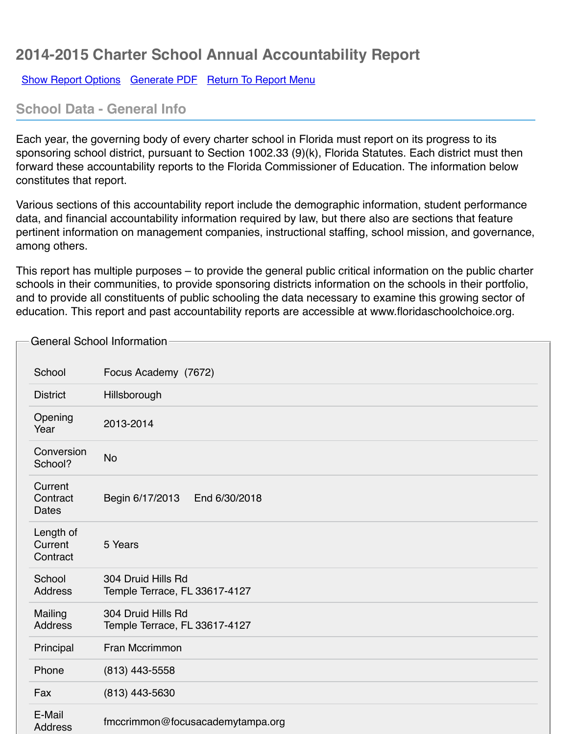## **School Data - General Info**

Each year, the governing body of every charter school in Florida must report on its progress to its sponsoring school district, pursuant to Section 1002.33 (9)(k), Florida Statutes. Each district must forward these accountability reports to the Florida Commissioner of Education. The information c[onstitutes that report](javascript:__doPostBack().

Various sections of this accountability report include the demographic information, student performation data, and financial accountability information required by law, but there also are sections that feature. pertinent information on management companies, instructional staffing, school mission, and governance, and sta among others.

This report has multiple purposes  $-$  to provide the general public critical information on the public schools in their communities, to provide sponsoring districts information on the schools in their portfolio, and to provide all constituents of public schooling the data necessary to examine this growing set education. This report and past accountability reports are accessible at www.floridaschoolchoice

|                                     | <b>General School Information</b>                   |
|-------------------------------------|-----------------------------------------------------|
|                                     |                                                     |
| School                              | Focus Academy (7672)                                |
| <b>District</b>                     | Hillsborough                                        |
| Opening<br>Year                     | 2013-2014                                           |
| Conversion<br>School?               | <b>No</b>                                           |
| Current<br>Contract<br><b>Dates</b> | Begin 6/17/2013<br>End 6/30/2018                    |
| Length of<br>Current<br>Contract    | 5 Years                                             |
| School<br><b>Address</b>            | 304 Druid Hills Rd<br>Temple Terrace, FL 33617-4127 |
| Mailing<br><b>Address</b>           | 304 Druid Hills Rd<br>Temple Terrace, FL 33617-4127 |
| Principal                           | Fran Mccrimmon                                      |
| Phone                               | $(813)$ 443-5558                                    |
| Fax                                 | (813) 443-5630                                      |
| E-Mail<br><b>Address</b>            | fmccrimmon@focusacademytampa.org                    |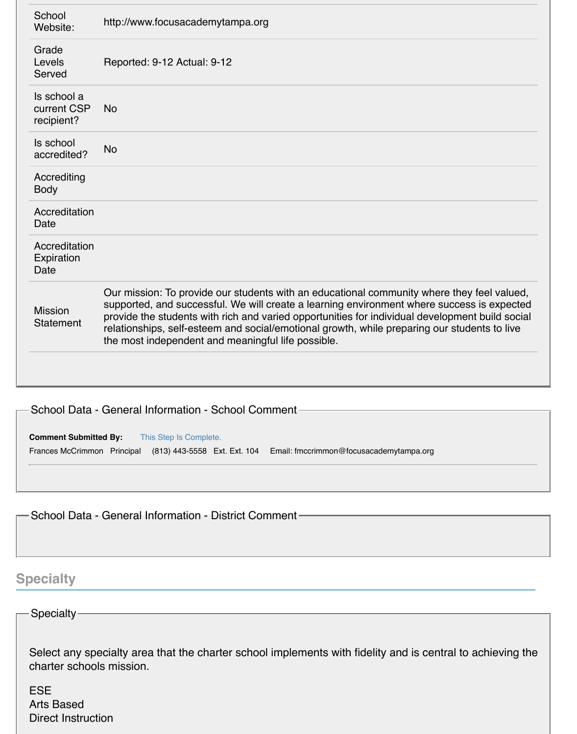| School<br>Website:                       | http://www.focusacademytampa.org                                                                                                                                                                                                                                                                                                                                                                                                                  |
|------------------------------------------|---------------------------------------------------------------------------------------------------------------------------------------------------------------------------------------------------------------------------------------------------------------------------------------------------------------------------------------------------------------------------------------------------------------------------------------------------|
| Grade<br>Levels<br>Served                | Reported: 9-12 Actual: 9-12                                                                                                                                                                                                                                                                                                                                                                                                                       |
| Is school a<br>current CSP<br>recipient? | <b>No</b>                                                                                                                                                                                                                                                                                                                                                                                                                                         |
| Is school<br>accredited?                 | <b>No</b>                                                                                                                                                                                                                                                                                                                                                                                                                                         |
| Accrediting<br><b>Body</b>               |                                                                                                                                                                                                                                                                                                                                                                                                                                                   |
| Accreditation<br>Date                    |                                                                                                                                                                                                                                                                                                                                                                                                                                                   |
| Accreditation<br>Expiration<br>Date      |                                                                                                                                                                                                                                                                                                                                                                                                                                                   |
| <b>Mission</b><br><b>Statement</b>       | Our mission: To provide our students with an educational community where they feel valued,<br>supported, and successful. We will create a learning environment where success is expected<br>provide the students with rich and varied opportunities for individual development build social<br>relationships, self-esteem and social/emotional growth, while preparing our students to live<br>the most independent and meaningful life possible. |
|                                          |                                                                                                                                                                                                                                                                                                                                                                                                                                                   |

#### School Data - General Information - School Comment

#### **Comment Submitted By:** This Step Is Complete.

Frances McCrimmon Principal (813) 443-5558 Ext. Ext. 104 Email: fmccrimmon@focusacademytampa.org

School Data - General Information - District Comment

## **Specialty**

#### Specialty

Select any specialty area that the charter school implements with fidelity and is central to achieving the charter schools mission.

ESE Arts Based Direct Instruction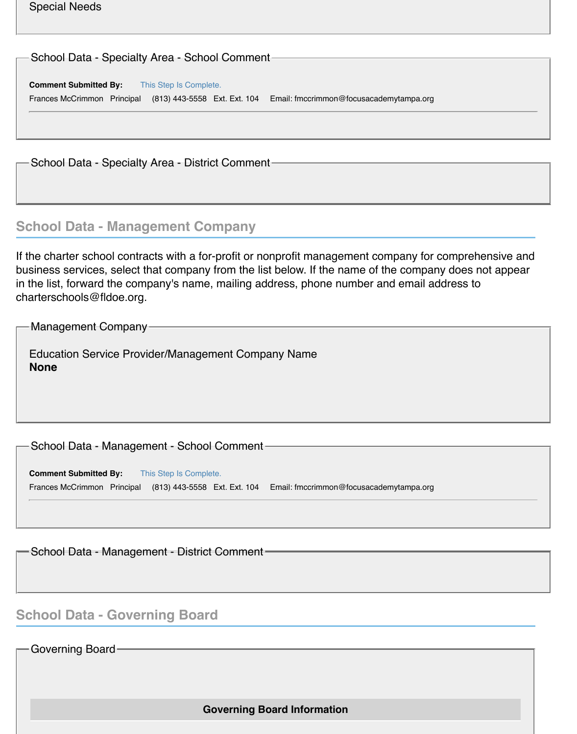| <b>Special Needs</b> |  |
|----------------------|--|
|----------------------|--|

| ├─ School Data - Specialty Area - School Comment-        |                                         |
|----------------------------------------------------------|-----------------------------------------|
| <b>Comment Submitted By:</b><br>This Step Is Complete.   |                                         |
| Frances McCrimmon Principal (813) 443-5558 Ext. Ext. 104 | Email: fmccrimmon@focusacademytampa.org |
|                                                          |                                         |
|                                                          |                                         |
|                                                          |                                         |

School Data - Specialty Area - District Comment

## **School Data - Management Company**

If the charter school contracts with a for-profit or nonprofit management company for comprehensive and business services, select that company from the list below. If the name of the company does not appear in the list, forward the company's name, mailing address, phone number and email address to charterschools@fldoe.org.

Management Company

Education Service Provider/Management Company Name **None**

School Data - Management - School Comment

**Comment Submitted By:** This Step Is Complete. Frances McCrimmon Principal (813) 443-5558 Ext. Ext. 104 Email: fmccrimmon@focusacademytampa.org

School Data - Management - District Comment

## **School Data - Governing Board**

Governing Board

**Governing Board Information**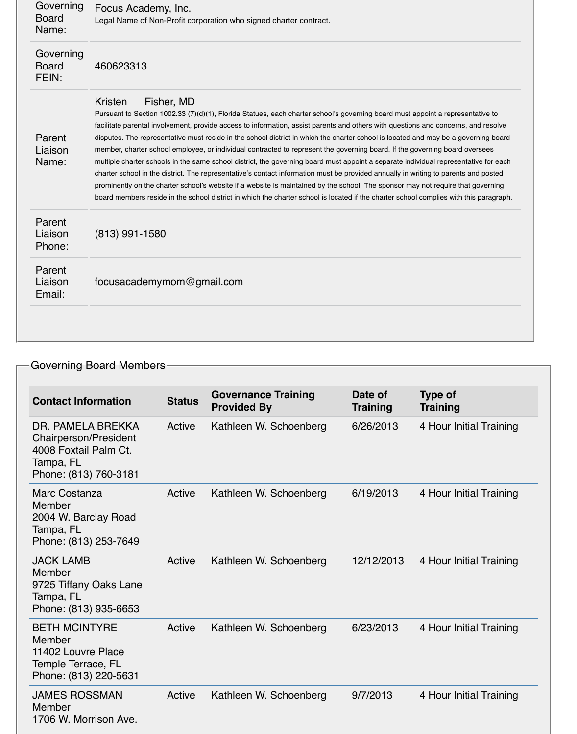| Governing<br><b>Board</b><br>Name: | Focus Academy, Inc.<br>Legal Name of Non-Profit corporation who signed charter contract.                                                                                                                                                                                                                                                                                                                                                                                                                                                                                                                                                                                                                                                                                                                                                                                                                                                                                                                                                                                                                                         |
|------------------------------------|----------------------------------------------------------------------------------------------------------------------------------------------------------------------------------------------------------------------------------------------------------------------------------------------------------------------------------------------------------------------------------------------------------------------------------------------------------------------------------------------------------------------------------------------------------------------------------------------------------------------------------------------------------------------------------------------------------------------------------------------------------------------------------------------------------------------------------------------------------------------------------------------------------------------------------------------------------------------------------------------------------------------------------------------------------------------------------------------------------------------------------|
| Governing<br><b>Board</b><br>FEIN: | 460623313                                                                                                                                                                                                                                                                                                                                                                                                                                                                                                                                                                                                                                                                                                                                                                                                                                                                                                                                                                                                                                                                                                                        |
| Parent<br>Liaison<br>Name:         | Fisher, MD<br>Kristen<br>Pursuant to Section 1002.33 (7)(d)(1), Florida Statues, each charter school's governing board must appoint a representative to<br>facilitate parental involvement, provide access to information, assist parents and others with questions and concerns, and resolve<br>disputes. The representative must reside in the school district in which the charter school is located and may be a governing board<br>member, charter school employee, or individual contracted to represent the governing board. If the governing board oversees<br>multiple charter schools in the same school district, the governing board must appoint a separate individual representative for each<br>charter school in the district. The representative's contact information must be provided annually in writing to parents and posted<br>prominently on the charter school's website if a website is maintained by the school. The sponsor may not require that governing<br>board members reside in the school district in which the charter school is located if the charter school complies with this paragraph. |
| Parent<br>Liaison<br>Phone:        | $(813)$ 991-1580                                                                                                                                                                                                                                                                                                                                                                                                                                                                                                                                                                                                                                                                                                                                                                                                                                                                                                                                                                                                                                                                                                                 |
| Parent<br>Liaison<br>Email:        | focusacademymom@gmail.com                                                                                                                                                                                                                                                                                                                                                                                                                                                                                                                                                                                                                                                                                                                                                                                                                                                                                                                                                                                                                                                                                                        |

## Governing Board Members

| <b>Contact Information</b>                                                                                       | <b>Status</b> | <b>Governance Training</b><br><b>Provided By</b> | Date of<br><b>Training</b> | <b>Type of</b><br><b>Training</b> |
|------------------------------------------------------------------------------------------------------------------|---------------|--------------------------------------------------|----------------------------|-----------------------------------|
| DR. PAMELA BREKKA<br><b>Chairperson/President</b><br>4008 Foxtail Palm Ct.<br>Tampa, FL<br>Phone: (813) 760-3181 | Active        | Kathleen W. Schoenberg                           | 6/26/2013                  | 4 Hour Initial Training           |
| <b>Marc Costanza</b><br><b>Member</b><br>2004 W. Barclay Road<br>Tampa, FL<br>Phone: (813) 253-7649              | Active        | Kathleen W. Schoenberg                           | 6/19/2013                  | 4 Hour Initial Training           |
| <b>JACK LAMB</b><br>Member<br>9725 Tiffany Oaks Lane<br>Tampa, FL<br>Phone: (813) 935-6653                       | Active        | Kathleen W. Schoenberg                           | 12/12/2013                 | 4 Hour Initial Training           |
| <b>BETH MCINTYRE</b><br>Member<br>11402 Louvre Place<br>Temple Terrace, FL<br>Phone: (813) 220-5631              | Active        | Kathleen W. Schoenberg                           | 6/23/2013                  | 4 Hour Initial Training           |
| <b>JAMES ROSSMAN</b><br>Member<br>1706 W. Morrison Ave.                                                          | Active        | Kathleen W. Schoenberg                           | 9/7/2013                   | 4 Hour Initial Training           |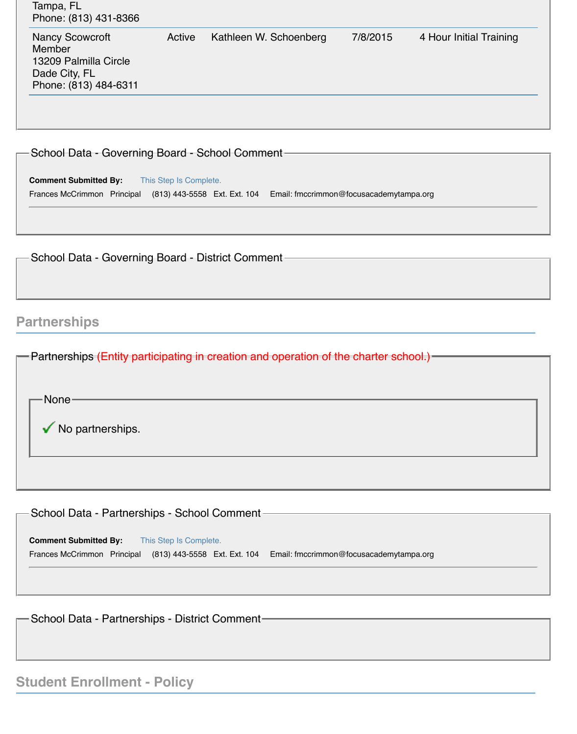| <b>Nancy Scowcroft</b><br><b>Member</b><br>13209 Palmilla Circle<br>Dade City, FL<br>Phone: (813) 484-6311 | Active | Kathleen W. Schoenberg | 7/8/2015 | 4 Hour Initial Training |
|------------------------------------------------------------------------------------------------------------|--------|------------------------|----------|-------------------------|
|------------------------------------------------------------------------------------------------------------|--------|------------------------|----------|-------------------------|

School Data - Governing Board - School Comment

**Comment Submitted By:** This Step Is Complete. Frances McCrimmon Principal (813) 443-5558 Ext. Ext. 104 Email: fmccrimmon@focusacademytampa.org

School Data - Governing Board - District Comment-

### **Partnerships**

| <b>-</b> Partnerships (Entity participating in creation and operation of the charter school.) |  |
|-----------------------------------------------------------------------------------------------|--|
|                                                                                               |  |
| -None-                                                                                        |  |
| $\sqrt{\ }$ No partnerships.                                                                  |  |
|                                                                                               |  |
|                                                                                               |  |

School Data - Partnerships - School Comment

**Comment Submitted By:** This Step Is Complete. Frances McCrimmon Principal (813) 443-5558 Ext. Ext. 104 Email: fmccrimmon@focusacademytampa.org

School Data - Partnerships - District Comment

## **Student Enrollment - Policy**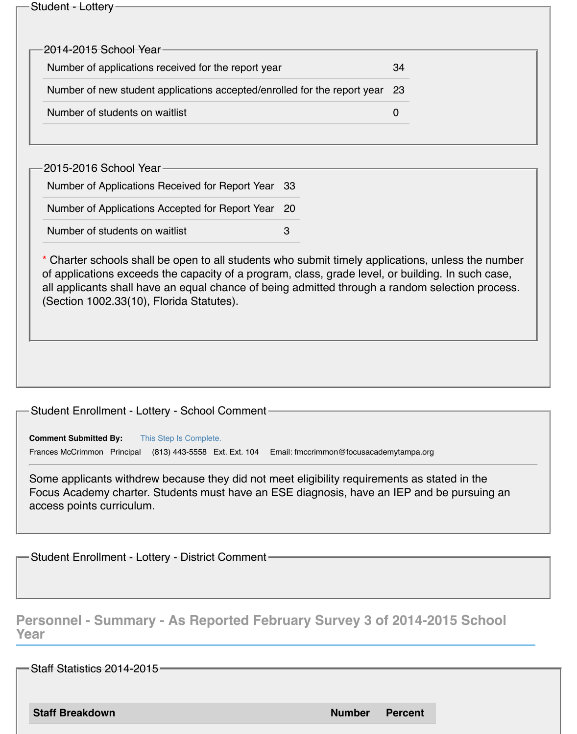| Student - Lottery- |
|--------------------|
|--------------------|

| $-$ 2014-2015 School Year $\cdot$                                           |    |
|-----------------------------------------------------------------------------|----|
| Number of applications received for the report year                         | 34 |
| Number of new student applications accepted/enrolled for the report year 23 |    |
| Number of students on waitlist                                              |    |

2015-2016 School Year

Number of Applications Received for Report Year 33

Number of Applications Accepted for Report Year 20

Number of students on waitlist **3** 

\* Charter schools shall be open to all students who submit timely applications, unless the number of applications exceeds the capacity of a program, class, grade level, or building. In such case, all applicants shall have an equal chance of being admitted through a random selection process. (Section 1002.33(10), Florida Statutes).

#### Student Enrollment - Lottery - School Comment

**Comment Submitted By:** This Step Is Complete. Frances McCrimmon Principal (813) 443-5558 Ext. Ext. 104 Email: fmccrimmon@focusacademytampa.org

Some applicants withdrew because they did not meet eligibility requirements as stated in the Focus Academy charter. Students must have an ESE diagnosis, have an IEP and be pursuing an access points curriculum.

Student Enrollment - Lottery - District Comment

#### **Personnel - Summary - As Reported February Survey 3 of 2014-2015 School Year**

Staff Statistics 2014-2015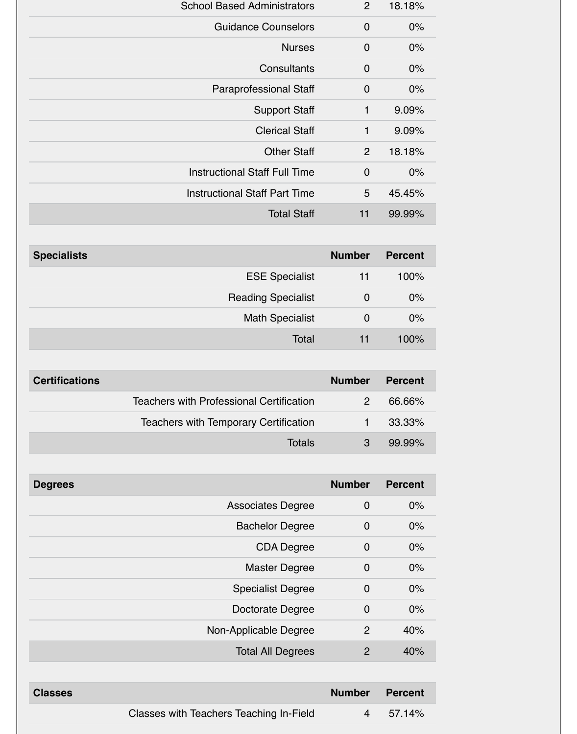| <b>School Based Administrators</b>   | 2              | 18.18% |
|--------------------------------------|----------------|--------|
| <b>Guidance Counselors</b>           | $\overline{0}$ | 0%     |
| <b>Nurses</b>                        | $\overline{0}$ | $0\%$  |
| Consultants                          | $\overline{0}$ | $0\%$  |
| <b>Paraprofessional Staff</b>        | $\overline{0}$ | $0\%$  |
| <b>Support Staff</b>                 | 1              | 9.09%  |
| <b>Clerical Staff</b>                | 1              | 9.09%  |
| <b>Other Staff</b>                   | 2              | 18.18% |
| <b>Instructional Staff Full Time</b> | $\overline{0}$ | 0%     |
| <b>Instructional Staff Part Time</b> | 5              | 45.45% |
| <b>Total Staff</b>                   | 11             | 99.99% |

| <b>Specialists</b>        | <b>Number</b> | <b>Percent</b> |
|---------------------------|---------------|----------------|
| <b>ESE Specialist</b>     | 11            | 100%           |
| <b>Reading Specialist</b> | 0             | 0%             |
| <b>Math Specialist</b>    | Ő             | 0%             |
| Total                     | 11            | 100%           |

| <b>Certifications</b>                           | <b>Number</b> | <b>Percent</b> |
|-------------------------------------------------|---------------|----------------|
| <b>Teachers with Professional Certification</b> |               | 66.66%         |
| <b>Teachers with Temporary Certification</b>    |               | 33.33%         |
| <b>Totals</b>                                   | 3             | 99.99%         |

| <b>Degrees</b>           | <b>Number</b>                       | <b>Percent</b> |
|--------------------------|-------------------------------------|----------------|
| <b>Associates Degree</b> | $\mathbf 0$                         | $0\%$          |
| <b>Bachelor Degree</b>   | $\overline{0}$                      | $0\%$          |
|                          | <b>CDA Degree</b><br>$\overline{0}$ | $0\%$          |
| <b>Master Degree</b>     | $\overline{0}$                      | 0%             |
| <b>Specialist Degree</b> | $\overline{0}$                      | 0%             |
| Doctorate Degree         | 0                                   | 0%             |
| Non-Applicable Degree    | $\overline{2}$                      | 40%            |
| <b>Total All Degrees</b> | $\overline{2}$                      | 40%            |
|                          |                                     |                |

| <b>Classes</b>                          | <b>Number Percent</b> |        |
|-----------------------------------------|-----------------------|--------|
| Classes with Teachers Teaching In-Field | $\overline{4}$        | 57.14% |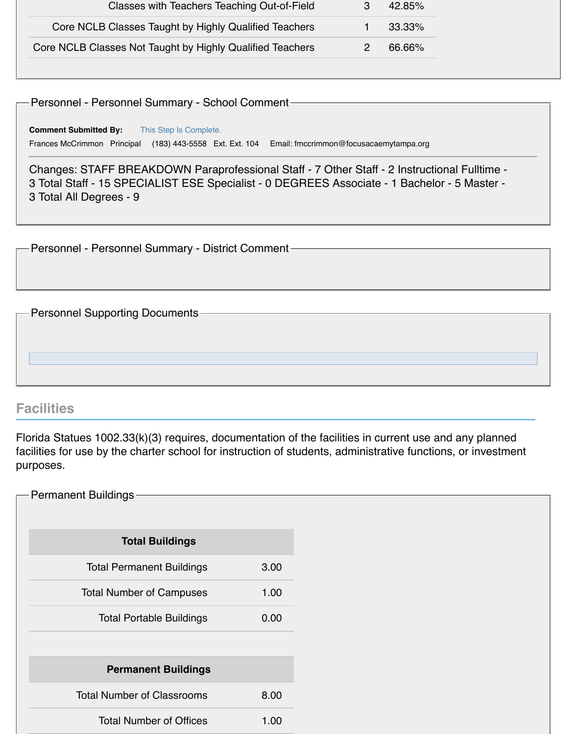| Classes with Teachers Teaching Out-of-Field               | 42.85% |
|-----------------------------------------------------------|--------|
| Core NCLB Classes Taught by Highly Qualified Teachers     | 33.33% |
| Core NCLB Classes Not Taught by Highly Qualified Teachers | 66.66% |
|                                                           |        |

Personnel - Personnel Summary - School Comment

**Comment Submitted By:** This Step Is Complete. Frances McCrimmon Principal (183) 443-5558 Ext. Ext. 104 Email: fmccrimmon@focusacaemytampa.org

Changes: STAFF BREAKDOWN Paraprofessional Staff - 7 Other Staff - 2 Instructional Fulltime - 3 Total Staff - 15 SPECIALIST ESE Specialist - 0 DEGREES Associate - 1 Bachelor - 5 Master - 3 Total All Degrees - 9

Personnel - Personnel Summary - District Comment

Personnel Supporting Documents -

#### **Facilities**

Florida Statues 1002.33(k)(3) requires, documentation of the facilities in current use and any planned facilities for use by the charter school for instruction of students, administrative functions, or investment purposes.

| <b>Permanent Buildings</b>        |      |
|-----------------------------------|------|
|                                   |      |
| <b>Total Buildings</b>            |      |
| <b>Total Permanent Buildings</b>  | 3.00 |
| <b>Total Number of Campuses</b>   | 1.00 |
| <b>Total Portable Buildings</b>   | 0.00 |
|                                   |      |
| <b>Permanent Buildings</b>        |      |
| <b>Total Number of Classrooms</b> | 8.00 |
| <b>Total Number of Offices</b>    | 1.00 |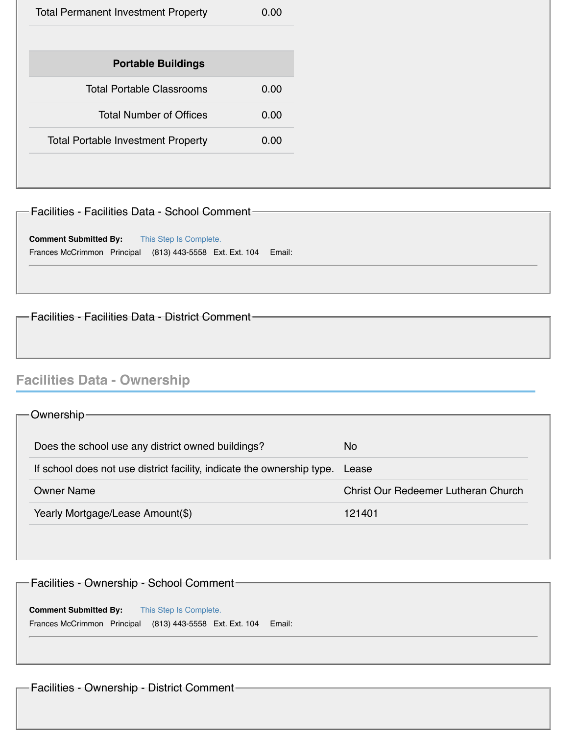Facilities - Facilities Data - School Comment

**Comment Submitted By:** This Step Is Complete. Frances McCrimmon Principal (813) 443-5558 Ext. Ext. 104 Email:

- Facilities - Facilities Data - District Comment-

## **Facilities Data - Ownership**

| -Ownership-                                                            |                                     |
|------------------------------------------------------------------------|-------------------------------------|
| Does the school use any district owned buildings?                      | <b>No</b>                           |
| If school does not use district facility, indicate the ownership type. | Lease                               |
| <b>Owner Name</b>                                                      | Christ Our Redeemer Lutheran Church |
| Yearly Mortgage/Lease Amount(\$)                                       | 121401                              |
|                                                                        |                                     |

| - Facilities - Ownership - School Comment-                                                                         |        |
|--------------------------------------------------------------------------------------------------------------------|--------|
| <b>Comment Submitted By:</b><br>This Step Is Complete.<br>Frances McCrimmon Principal (813) 443-5558 Ext. Ext. 104 | Email: |
|                                                                                                                    |        |

Facilities - Ownership - District Comment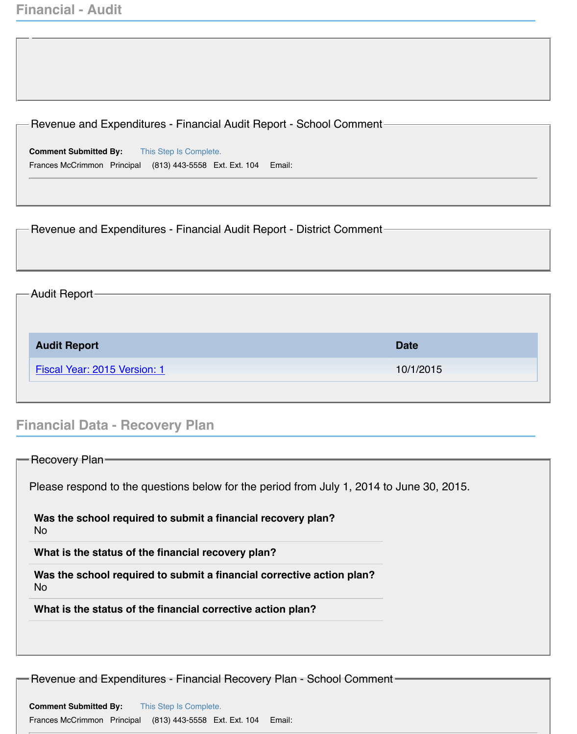| Revenue and Expenditures - Financial Audit Report - School Comment-                      |             |
|------------------------------------------------------------------------------------------|-------------|
|                                                                                          |             |
| <b>Comment Submitted By:</b> This Step Is Complete.                                      |             |
| Frances McCrimmon Principal (813) 443-5558 Ext. Ext. 104<br>Email:                       |             |
|                                                                                          |             |
|                                                                                          |             |
| Revenue and Expenditures - Financial Audit Report - District Comment-                    |             |
|                                                                                          |             |
|                                                                                          |             |
| <b>Audit Report-</b>                                                                     |             |
|                                                                                          |             |
|                                                                                          |             |
| <b>Audit Report</b>                                                                      | <b>Date</b> |
| Fiscal Year: 2015 Version: 1                                                             | 10/1/2015   |
|                                                                                          |             |
|                                                                                          |             |
| <b>Financial Data - Recovery Plan</b>                                                    |             |
|                                                                                          |             |
| $\Gamma$ Recovery Plan-                                                                  |             |
| Please respond to the questions below for the period from July 1, 2014 to June 30, 2015. |             |
| Was the school required to submit a financial recovery plan?<br><b>No</b>                |             |

**Was the school required to submit a financial corrective action plan?** No

**What is the status of the financial corrective action plan?**

Revenue and Expenditures - Financial Recovery Plan - School Comment

**Comment Submitted By:** This Step Is Complete. Frances McCrimmon Principal (813) 443-5558 Ext. Ext. 104 Email: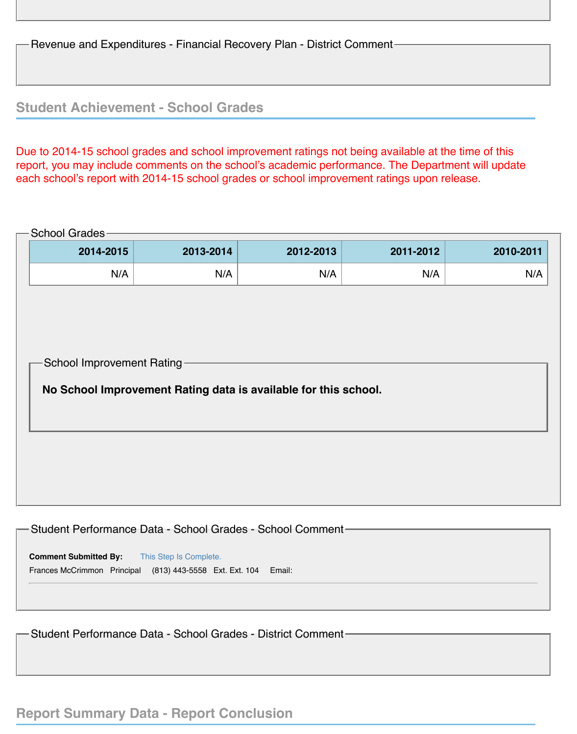Revenue and Expenditures - Financial Recovery Plan - District Comment

#### **Student Achievement - School Grades**

Due to 2014-15 school grades and school improvement ratings not being available at the time of this report, you may include comments on the school's academic performance. The Department will update each school's report with 2014-15 school grades or school improvement ratings upon release.

# School Grades-School Improvement Rating **2014-2015 2013-2014 2012-2013 2011-2012 2010-2011** N/A N/A N/A N/A N/A **No School Improvement Rating data is available for this school.**

| -Student Performance Data - School Grades - School Comment-     |
|-----------------------------------------------------------------|
|                                                                 |
|                                                                 |
| <b>Comment Submitted By:</b><br>This Step Is Complete.          |
| Frances McCrimmon Principal (813) 443-5558 Ext. Ext. 104 Email: |
|                                                                 |
|                                                                 |
|                                                                 |
|                                                                 |

Student Performance Data - School Grades - District Comment

#### **Report Summary Data - Report Conclusion**